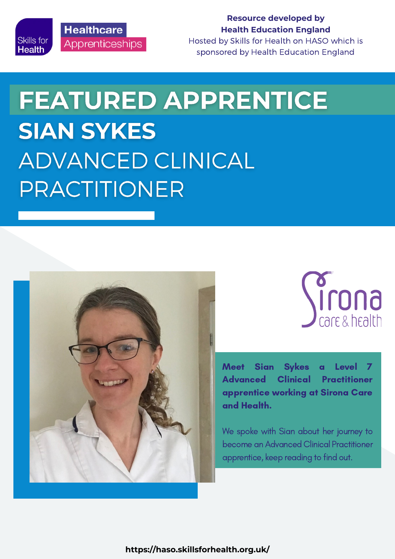

**Resource developed by Health Education England**

Hosted by Skills for Health on HASO which is sponsored by Health Education England

# **FEATURED APPRENTICE SIAN SYKES ADVANCED CLINICAL** PRACTITIONER





Meet Sian Sykes a Level 7 Advanced Clinical Practitioner apprentice working at Sirona Care and Health.

We spoke with Sian about her journey to become an Advanced Clinical Practitioner apprentice, keep reading to find out.

**https://haso.skillsforhealth.org.uk/**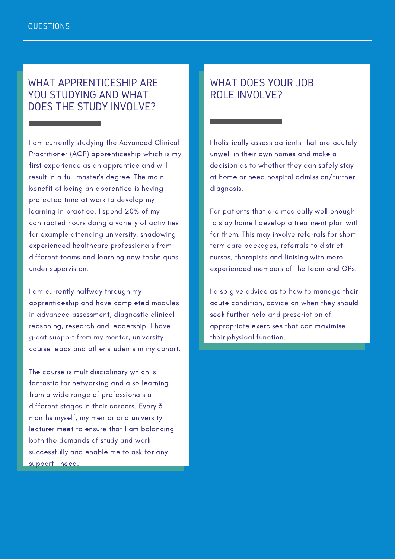## WHAT APPRENTICESHIP ARE YOU STUDYING AND WHAT DOES THE STUDY INVOLVE?

I am currently studying the Advanced Clinical Practitioner (ACP) apprenticeship which is my first experience as an apprentice and will result in a full master's degree. The main benefit of being an apprentice is having protected time at work to develop my learning in practice. I spend 20% of my contracted hours doing a variety of activities for example attending university, shadowing experienced healthcare professionals from different teams and learning new techniques under supervision.

I am currently halfway through my apprenticeship and have completed modules in advanced assessment, diagnostic clinical reasoning, research and leadership. I have great support from my mentor, university course leads and other students in my cohort.

The course is multidisciplinary which is fantastic for networking and also learning from a wide range of professionals at different stages in their careers. Every 3 months myself, my mentor and university lecturer meet to ensure that I am balancing both the demands of study and work successfully and enable me to ask for any support I need.

# WHAT DOES YOUR JOB ROLE INVOLVE?

I holistically assess patients that are acutely unwell in their own homes and make a decision as to whether they can safely stay at home or need hospital admission/further diagnosis.

For patients that are medically well enough to stay home I develop a treatment plan with for them. This may involve referrals for short term care packages, referrals to district nurses, therapists and liaising with more experienced members of the team and GPs.

I also give advice as to how to manage their acute condition, advice on when they should seek further help and prescription of appropriate exercises that can maximise their physical function.